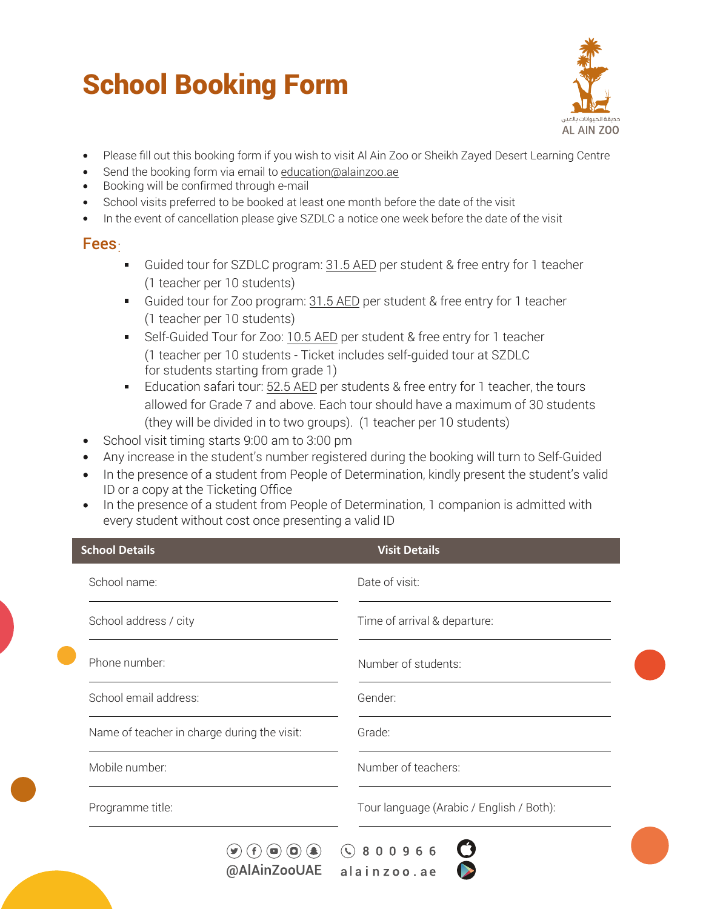# School Booking Form



- Please fill out this booking form if you wish to visit Al Ain Zoo or Sheikh Zayed Desert Learning Centre
- Send the booking form via email to education@alainzoo.ae
- Booking will be confirmed through e-mail
- School visits preferred to be booked at least one month before the date of the visit  $\bullet$
- In the event of cancellation please give SZDLC a notice one week before the date of the visit

# Fees:

- $\blacksquare$ Guided tour for SZDLC program: 31.5 AED per student & free entry for 1 teacher (1 teacher per 10 students)
- Guided tour for Zoo program: 31.5 AED per student & free entry for 1 teacher (1 teacher per 10 students)
- Self-Guided Tour for Zoo: 10.5 AED per student & free entry for 1 teacher (1 teacher per 10 students - Ticket includes self-guided tour at SZDLC for students starting from grade 1)
- Education safari tour: 52.5 AED per students & free entry for 1 teacher, the tours allowed for Grade 7 and above. Each tour should have a maximum of 30 students (they will be divided in to two groups). (1 teacher per 10 students)
- School visit timing starts 9:00 am to 3:00 pm
- Any increase in the student's number registered during the booking will turn to Self-Guided
- In the presence of a student from People of Determination, kindly present the student's valid ID or a copy at the Ticketing Office
- In the presence of a student from People of Determination, 1 companion is admitted with every student without cost once presenting a valid ID

| <b>School Details</b>                       | <b>Visit Details</b>                     |
|---------------------------------------------|------------------------------------------|
| School name:                                | Date of visit:                           |
| School address / city                       | Time of arrival & departure:             |
| Phone number:                               | Number of students:                      |
| School email address:                       | Gender:                                  |
| Name of teacher in charge during the visit: | Grade:                                   |
| Mobile number:                              | Number of teachers:                      |
| Programme title:                            | Tour language (Arabic / English / Both): |